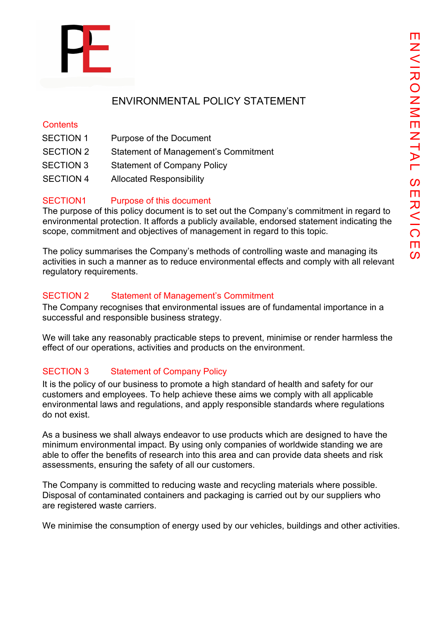

# ENVIRONMENTAL POLICY STATEMENT

#### **Contents**

- SECTION 1 Purpose of the Document
- SECTION 2 Statement of Management's Commitment
- SECTION 3 Statement of Company Policy
- SECTION 4 Allocated Responsibility

### SECTION1 Purpose of this document

The purpose of this policy document is to set out the Company's commitment in regard to environmental protection. It affords a publicly available, endorsed statement indicating the scope, commitment and objectives of management in regard to this topic.

The policy summarises the Company's methods of controlling waste and managing its activities in such a manner as to reduce environmental effects and comply with all relevant regulatory requirements.

#### SECTION 2 Statement of Management's Commitment

The Company recognises that environmental issues are of fundamental importance in a successful and responsible business strategy.

We will take any reasonably practicable steps to prevent, minimise or render harmless the effect of our operations, activities and products on the environment.

## SECTION 3 Statement of Company Policy

It is the policy of our business to promote a high standard of health and safety for our customers and employees. To help achieve these aims we comply with all applicable environmental laws and regulations, and apply responsible standards where regulations do not exist.

As a business we shall always endeavor to use products which are designed to have the minimum environmental impact. By using only companies of worldwide standing we are able to offer the benefits of research into this area and can provide data sheets and risk assessments, ensuring the safety of all our customers.

The Company is committed to reducing waste and recycling materials where possible. Disposal of contaminated containers and packaging is carried out by our suppliers who are registered waste carriers.

We minimise the consumption of energy used by our vehicles, buildings and other activities.